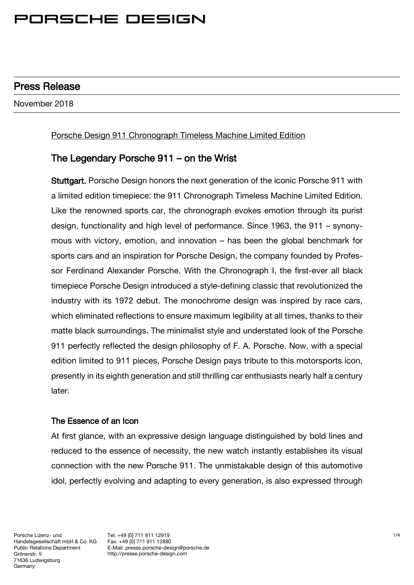### Press Release

November 2018

#### Porsche Design 911 Chronograph Timeless Machine Limited Edition

### The Legendary Porsche 911 – on the Wrist

Stuttgart. Porsche Design honors the next generation of the iconic Porsche 911 with a limited edition timepiece: the 911 Chronograph Timeless Machine Limited Edition. Like the renowned sports car, the chronograph evokes emotion through its purist design, functionality and high level of performance. Since 1963, the 911 – synonymous with victory, emotion, and innovation – has been the global benchmark for sports cars and an inspiration for Porsche Design, the company founded by Professor Ferdinand Alexander Porsche. With the Chronograph I, the first-ever all black timepiece Porsche Design introduced a style-defining classic that revolutionized the industry with its 1972 debut. The monochrome design was inspired by race cars, which eliminated reflections to ensure maximum legibility at all times, thanks to their matte black surroundings. The minimalist style and understated look of the Porsche 911 perfectly reflected the design philosophy of F. A. Porsche. Now, with a special edition limited to 911 pieces, Porsche Design pays tribute to this motorsports icon, presently in its eighth generation and still thrilling car enthusiasts nearly half a century later.

#### The Essence of an Icon

At first glance, with an expressive design language distinguished by bold lines and reduced to the essence of necessity, the new watch instantly establishes its visual connection with the new Porsche 911. The unmistakable design of this automotive idol, perfectly evolving and adapting to every generation, is also expressed through

Tel: +49 [0] 711 911 12919 Fax: +49 [0] 711 911 12880 E-Mail: presse.porsche-design@porsche.de http://presse.porsche-design.com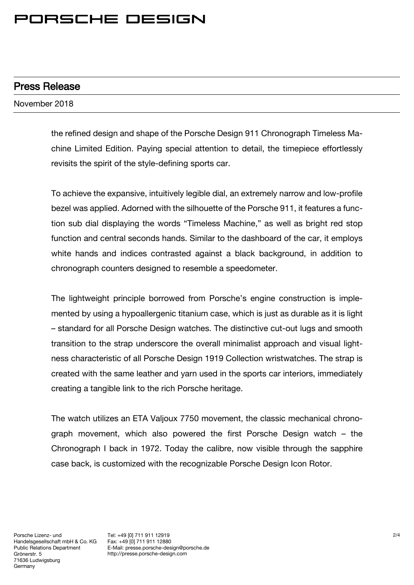### Press Release

November 2018

the refined design and shape of the Porsche Design 911 Chronograph Timeless Machine Limited Edition. Paying special attention to detail, the timepiece effortlessly revisits the spirit of the style-defining sports car.

To achieve the expansive, intuitively legible dial, an extremely narrow and low-profile bezel was applied. Adorned with the silhouette of the Porsche 911, it features a function sub dial displaying the words "Timeless Machine," as well as bright red stop function and central seconds hands. Similar to the dashboard of the car, it employs white hands and indices contrasted against a black background, in addition to chronograph counters designed to resemble a speedometer.

The lightweight principle borrowed from Porsche's engine construction is implemented by using a hypoallergenic titanium case, which is just as durable as it is light – standard for all Porsche Design watches. The distinctive cut-out lugs and smooth transition to the strap underscore the overall minimalist approach and visual lightness characteristic of all Porsche Design 1919 Collection wristwatches. The strap is created with the same leather and yarn used in the sports car interiors, immediately creating a tangible link to the rich Porsche heritage.

The watch utilizes an ETA Valjoux 7750 movement, the classic mechanical chronograph movement, which also powered the first Porsche Design watch – the Chronograph I back in 1972. Today the calibre, now visible through the sapphire case back, is customized with the recognizable Porsche Design Icon Rotor.

Tel: +49 [0] 711 911 12919 Fax: +49 [0] 711 911 12880 E-Mail: presse.porsche-design@porsche.de http://presse.porsche-design.com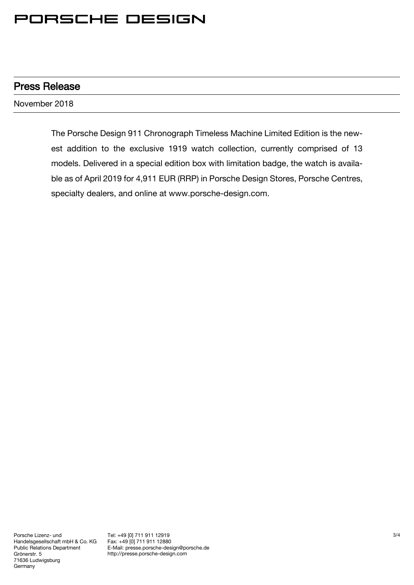### Press Release

November 2018

The Porsche Design 911 Chronograph Timeless Machine Limited Edition is the newest addition to the exclusive 1919 watch collection, currently comprised of 13 models. Delivered in a special edition box with limitation badge, the watch is available as of April 2019 for 4,911 EUR (RRP) in Porsche Design Stores, Porsche Centres, specialty dealers, and online at www.porsche-design.com.